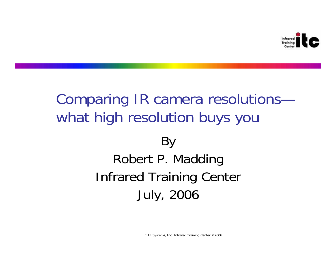

# Comparing IR camera resolutions what high resolution buys you

# By Robert P. Madding Infrared Training Center July, 2006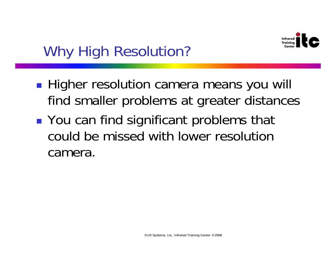

# Why High Resolution?

- **Higher resolution camera means you will** find smaller problems at greater distances
- **• You can find significant problems that** could be missed with lower resolution camera.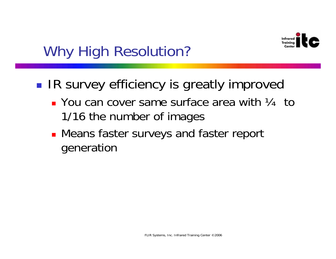

# Why High Resolution?

- ■ IR survey efficiency is greatly improved
	- $\blacksquare$  You can cover same surface area with  $\mathcal{V}_4$  to 1/16 the number of images
	- **Means faster surveys and faster report** generation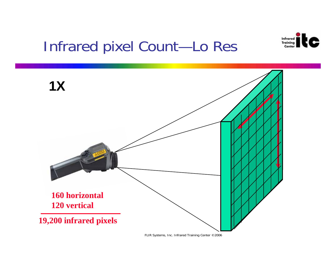

# Infrared pixel Count-Lo Res

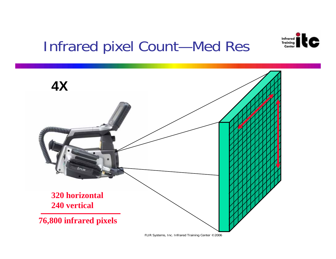

# Infrared pixel Count—Med Res

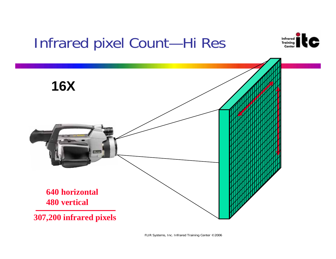# Infrared pixel Count-Hi Res



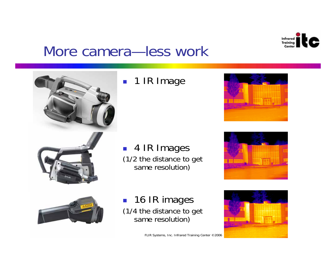

#### More camera—less work



#### ■ 1 IR Image

■ 4 IR Images (1/2 the distance to get same resolution)







**16 IR images** (1/4 the distance to get same resolution)

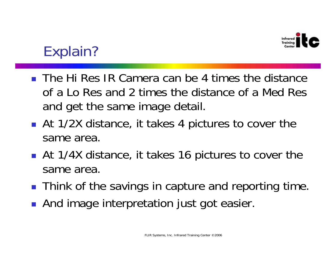

# Explain?

- The Hi Res IR Camera can be 4 times the distance of a Lo Res and 2 times the distance of a Med Res and get the same image detail.
- **At 1/2X distance, it takes 4 pictures to cover the** same area.
- **At 1/4X distance, it takes 16 pictures to cover the** same area.
- **Think of the savings in capture and reporting time.**
- **And image interpretation just got easier.**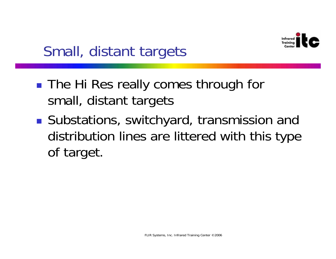

# Small, distant targets

- ■ The Hi Res really comes through for small, distant targets
- **Substations, switchyard, transmission and** distribution lines are littered with this type of target.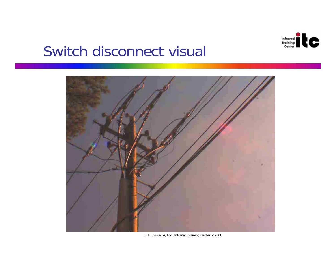

#### Switch disconnect visual



FLIR Systems, Inc. Infrared Training Center ©2006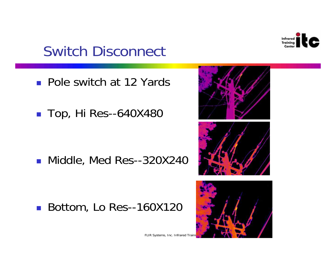

# Switch Disconnect

- **Pole switch at 12 Yards**
- Top, Hi Res--640X480

■ Middle, Med Res--320X240

■ Bottom, Lo Res--160X120



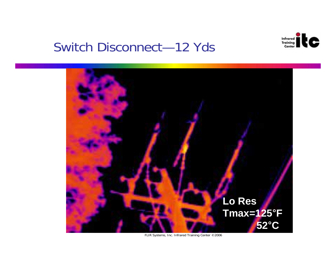

#### Switch Disconnect-12 Yds

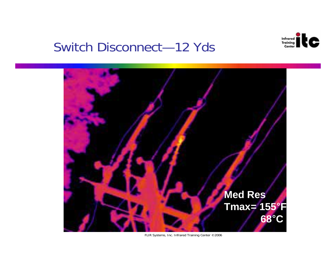

#### **Switch Disconnect-12 Yds**

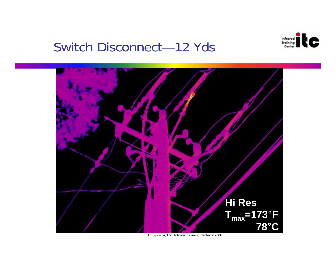

#### Switch Disconnect-12 Yds



FLIR Systems, Inc. Infrared Training Center © 2006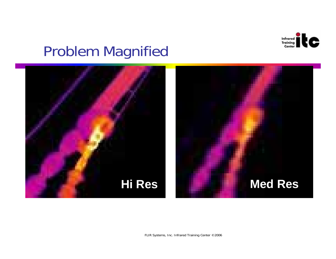

# Problem Magnified

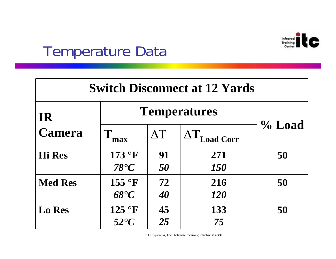

### Temperature Data

| <b>Switch Disconnect at 12 Yards</b> |                         |                  |                   |           |
|--------------------------------------|-------------------------|------------------|-------------------|-----------|
| <b>IR</b>                            | <b>Temperatures</b>     |                  |                   |           |
| <b>Camera</b>                        | T<br>max                | $\Delta {\rm T}$ | <b>Load Corr</b>  | $\%$ Load |
| <b>Hi</b> Res                        | 173 °F<br>$78^{\circ}C$ | 91<br>50         | 271<br><b>150</b> | 50        |
| <b>Med Res</b>                       | 155 °F<br>68°C          | 72<br>40         | 216<br><b>120</b> | 50        |
| <b>Lo Res</b>                        | 125 °F<br>$52^{\circ}C$ | 45<br>25         | 133<br>75         | 50        |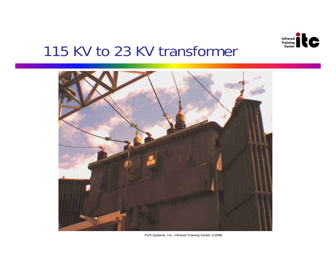

#### 115 KV to 23 KV transformer



FLIR Systems, Inc. Infrared Training Center ©2006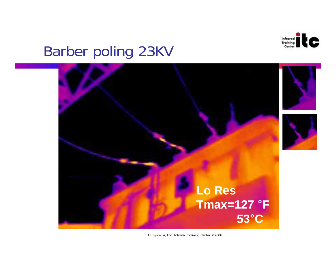

# **Barber poling 23KV**

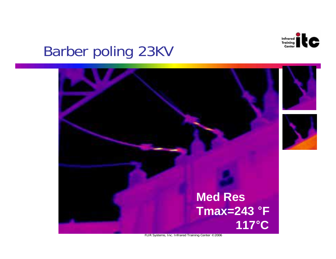

## **Barber poling 23KV**

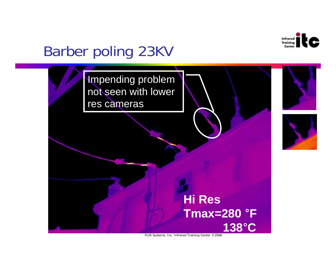

# **Barber poling 23KV**

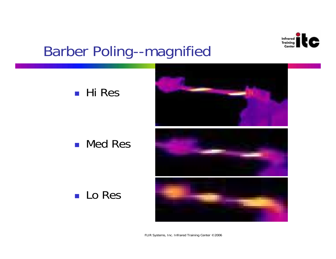

# **Barber Poling--magnified**



#### **Med Res**







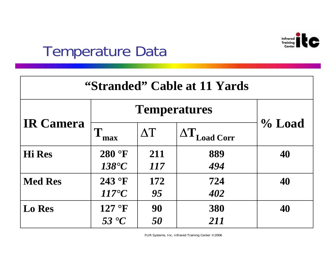

### Temperature Data

| "Stranded" Cable at 11 Yards |                     |            |                      |           |
|------------------------------|---------------------|------------|----------------------|-----------|
| <b>IR Camera</b>             | <b>Temperatures</b> |            |                      |           |
|                              | max                 | $\Delta T$ | $\Delta T$ Load Corr | $\%$ Load |
| <b>Hi Res</b>                | 280 °F              | 211        | 889                  | 40        |
|                              | 138°C               | 117        | 494                  |           |
| <b>Med Res</b>               | 243 °F              | 172        | 724                  | 40        |
|                              | $117^{\circ}C$      | 95         | 402                  |           |
| <b>Lo Res</b>                | 127 °F              | 90         | 380                  | 40        |
|                              | 53 °C               | 50         | 211                  |           |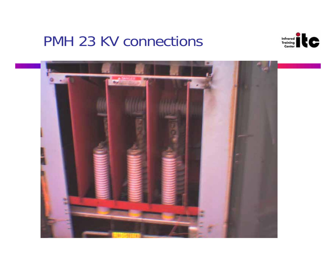#### PMH 23 KV connections



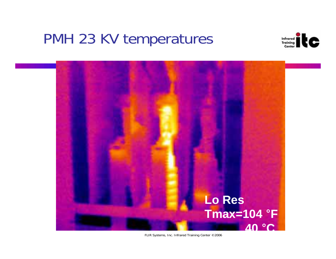### PMH 23 KV temperatures



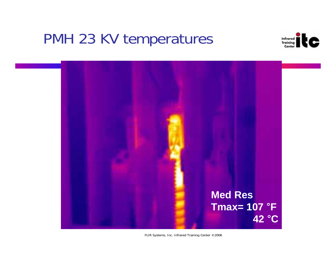### PMH 23 KV temperatures



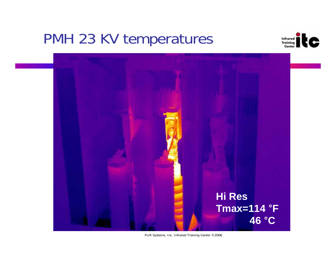### PMH 23 KV temperatures



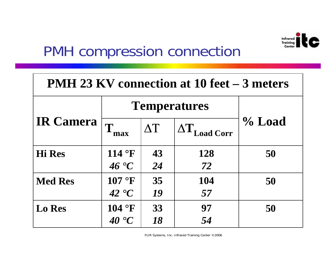

# PMH compression connection

| <b>PMH 23 KV connection at 10 feet – 3 meters</b> |                     |            |                      |        |
|---------------------------------------------------|---------------------|------------|----------------------|--------|
|                                                   | <b>Temperatures</b> |            |                      |        |
| <b>IR Camera</b>                                  | max                 | $\Delta T$ | $\Delta T$ Load Corr | % Load |
| <b>Hi Res</b>                                     | 114 °F              | 43         | <b>128</b>           | 50     |
|                                                   | 46 °C               | 24         | 72                   |        |
| <b>Med Res</b>                                    | 107 °F              | 35         | 104                  | 50     |
|                                                   | 42 °C               | 19         | 57                   |        |
| <b>Lo Res</b>                                     | 104 °F              | 33         | 97                   | 50     |
|                                                   | 40 °C               | 18         | 54                   |        |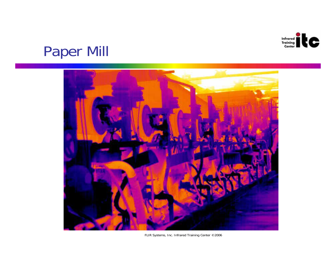

# Paper Mill



FLIR Systems, Inc. Infrared Training Center ©2006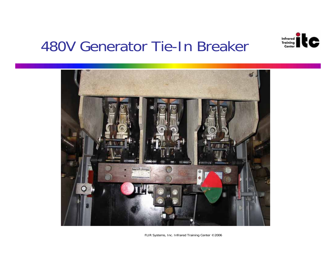

#### 480V Generator Tie-In Breaker

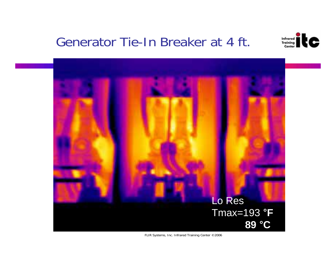#### Generator Tie-In Breaker at 4 ft.



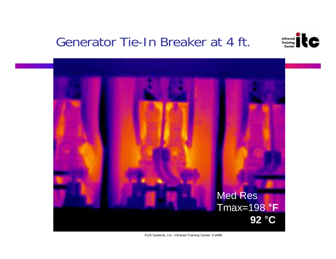#### Generator Tie-In Breaker at 4 ft.



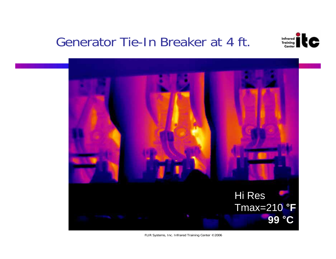#### Generator Tie-In Breaker at 4 ft.



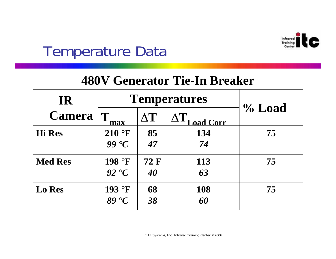

# Temperature Data

| 480V Generator Tie-In Breaker |                     |                   |                                |           |
|-------------------------------|---------------------|-------------------|--------------------------------|-----------|
| <b>IR</b>                     | <b>Temperatures</b> |                   |                                |           |
| <b>Camera</b>                 | T<br>max            | $\Delta T$        | $\Delta T$<br><b>Load Corr</b> | $\%$ Load |
| <b>Hi</b> Res                 | $210$ °F<br>99 °C   | 85<br>47          | 134<br>74                      | 75        |
| <b>Med Res</b>                | 198 °F<br>92 °C     | <b>72 F</b><br>40 | 113<br>63                      | 75        |
| <b>Lo Res</b>                 | 193 °F<br>89 °C     | 68<br>38          | 108<br>60                      | 75        |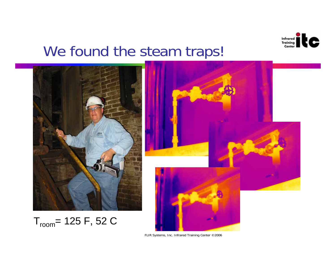

# We found the steam traps!

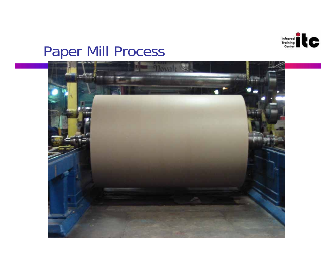

# Paper Mill Process

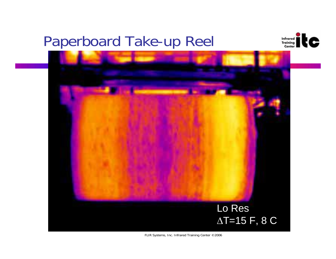# Paperboard Take-up Reel



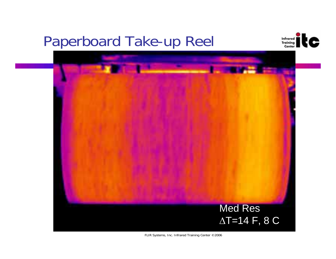# Paperboard Take-up Reel



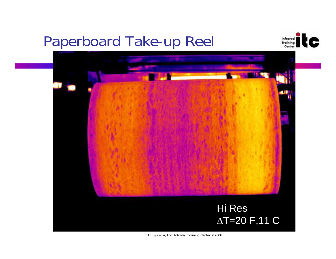# **Paperboard Take-up Reel**



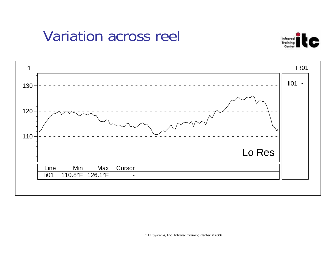# **Variation across reel**



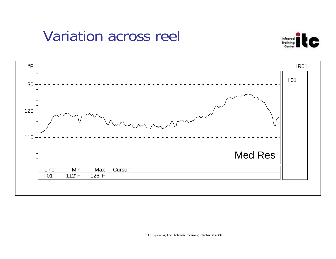# **Variation across reel**



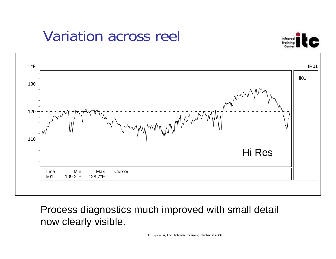# Variation across reel





Process diagnostics much improved with small detail now clearly visible.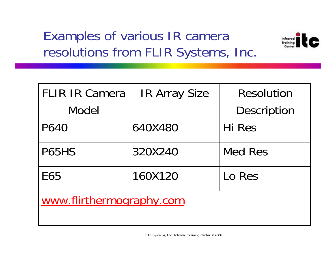### Examples of various IR camera resolutions from FLIR Systems, Inc.



| <b>FLIR IR Camera</b>    | <b>IR Array Size</b> | <b>Resolution</b>  |  |  |
|--------------------------|----------------------|--------------------|--|--|
| <b>Model</b>             |                      | <b>Description</b> |  |  |
| P640                     | 640X480              | Hi Res             |  |  |
| P65HS                    | 320X240              | <b>Med Res</b>     |  |  |
| <b>E65</b>               | 160X120              | Lo Res             |  |  |
| www.flirthermography.com |                      |                    |  |  |
|                          |                      |                    |  |  |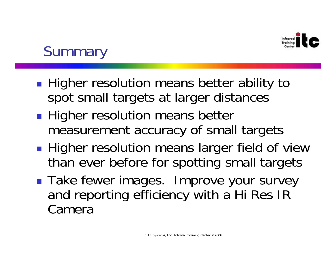

# **Summary**

- **Higher resolution means better ability to** spot small targets at larger distances
- **Higher resolution means better** measurement accuracy of small targets
- **Service Service Higher resolution means larger field of view** than ever before for spotting small targets
- **Take fewer images. Improve your survey** and reporting efficiency with a Hi Res IR Camera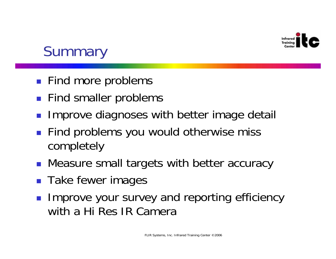

# **Summary**

- **Find more problems**
- **Find smaller problems**
- H Improve diagnoses with better image detail
- **Find problems you would otherwise miss** completely
- **Measure small targets with better accuracy**
- **Take fewer images**
- П Improve your survey and reporting efficiency with a Hi Res IR Camera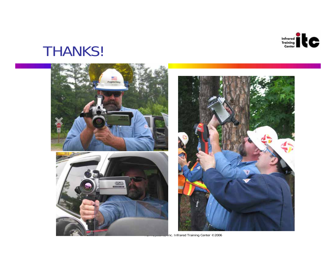

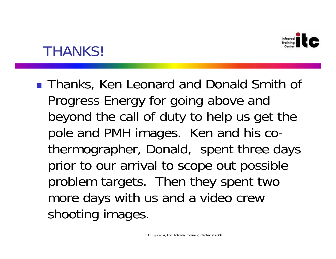

**Thanks, Ken Leonard and Donald Smith of** Progress Energy for going above and beyond the call of duty to help us get the pole and PMH images. Ken and his cothermographer, Donald, spent three days prior to our arrival to scope out possible problem targets. Then they spent two more days with us and a video crew shooting images.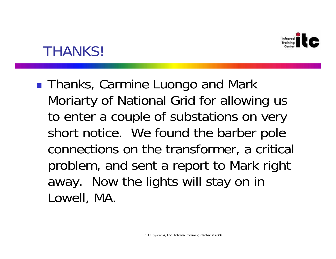

**Thanks, Carmine Luongo and Mark** Moriarty of National Grid for allowing us to enter a couple of substations on very short notice. We found the barber pole connections on the transformer, a critical problem, and sent a report to Mark right away. Now the lights will stay on in Lowell, MA.